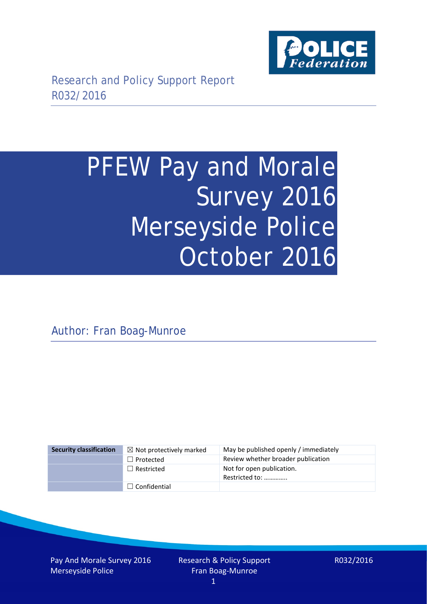

# PFEW Pay and Morale Survey 2016 Merseyside Police October 2016

Author: Fran Boag-Munroe

| <b>Security classification</b> | $\boxtimes$ Not protectively marked | May be published openly / immediately       |
|--------------------------------|-------------------------------------|---------------------------------------------|
|                                | $\Box$ Protected                    | Review whether broader publication          |
|                                | $\Box$ Restricted                   | Not for open publication.<br>Restricted to: |
|                                | $\Box$ Confidential                 |                                             |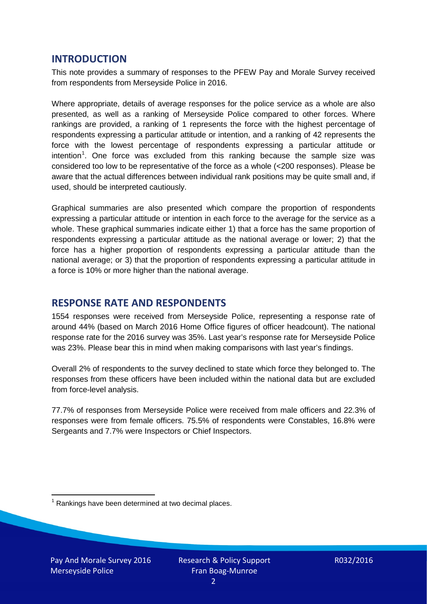### **INTRODUCTION**

This note provides a summary of responses to the PFEW Pay and Morale Survey received from respondents from Merseyside Police in 2016.

Where appropriate, details of average responses for the police service as a whole are also presented, as well as a ranking of Merseyside Police compared to other forces. Where rankings are provided, a ranking of 1 represents the force with the highest percentage of respondents expressing a particular attitude or intention, and a ranking of 42 represents the force with the lowest percentage of respondents expressing a particular attitude or intention<sup>[1](#page-1-0)</sup>. One force was excluded from this ranking because the sample size was considered too low to be representative of the force as a whole (<200 responses). Please be aware that the actual differences between individual rank positions may be quite small and, if used, should be interpreted cautiously.

Graphical summaries are also presented which compare the proportion of respondents expressing a particular attitude or intention in each force to the average for the service as a whole. These graphical summaries indicate either 1) that a force has the same proportion of respondents expressing a particular attitude as the national average or lower; 2) that the force has a higher proportion of respondents expressing a particular attitude than the national average; or 3) that the proportion of respondents expressing a particular attitude in a force is 10% or more higher than the national average.

## **RESPONSE RATE AND RESPONDENTS**

1554 responses were received from Merseyside Police, representing a response rate of around 44% (based on March 2016 Home Office figures of officer headcount). The national response rate for the 2016 survey was 35%. Last year's response rate for Merseyside Police was 23%. Please bear this in mind when making comparisons with last year's findings.

Overall 2% of respondents to the survey declined to state which force they belonged to. The responses from these officers have been included within the national data but are excluded from force-level analysis.

77.7% of responses from Merseyside Police were received from male officers and 22.3% of responses were from female officers. 75.5% of respondents were Constables, 16.8% were Sergeants and 7.7% were Inspectors or Chief Inspectors.

<span id="page-1-0"></span> $1$  Rankings have been determined at two decimal places.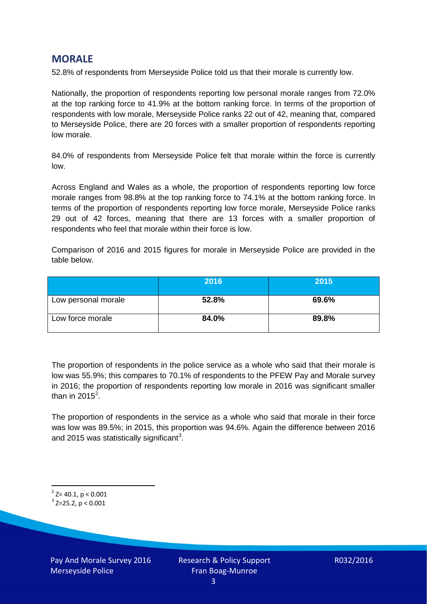## **MORALE**

52.8% of respondents from Merseyside Police told us that their morale is currently low.

Nationally, the proportion of respondents reporting low personal morale ranges from 72.0% at the top ranking force to 41.9% at the bottom ranking force. In terms of the proportion of respondents with low morale, Merseyside Police ranks 22 out of 42, meaning that, compared to Merseyside Police, there are 20 forces with a smaller proportion of respondents reporting low morale.

84.0% of respondents from Merseyside Police felt that morale within the force is currently low.

Across England and Wales as a whole, the proportion of respondents reporting low force morale ranges from 98.8% at the top ranking force to 74.1% at the bottom ranking force. In terms of the proportion of respondents reporting low force morale, Merseyside Police ranks 29 out of 42 forces, meaning that there are 13 forces with a smaller proportion of respondents who feel that morale within their force is low.

Comparison of 2016 and 2015 figures for morale in Merseyside Police are provided in the table below.

|                     | 2016  | 2015  |
|---------------------|-------|-------|
| Low personal morale | 52.8% | 69.6% |
| Low force morale    | 84.0% | 89.8% |

The proportion of respondents in the police service as a whole who said that their morale is low was 55.9%; this compares to 70.1% of respondents to the PFEW Pay and Morale survey in 2016; the proportion of respondents reporting low morale in 2016 was significant smaller than in [2](#page-2-0)015 $^2$ .

The proportion of respondents in the service as a whole who said that morale in their force was low was 89.5%; in 2015, this proportion was 94.6%. Again the difference between 2016 and 2015 was statistically significant<sup>[3](#page-2-1)</sup>.

<span id="page-2-0"></span> $2$ <sup>2</sup> Z= 40.1, p < 0.001

<span id="page-2-1"></span> $3$  Z=25.2, p < 0.001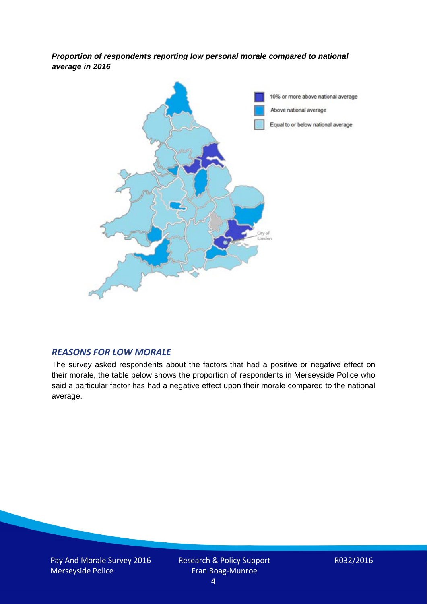*Proportion of respondents reporting low personal morale compared to national average in 2016*



#### *REASONS FOR LOW MORALE*

The survey asked respondents about the factors that had a positive or negative effect on their morale, the table below shows the proportion of respondents in Merseyside Police who said a particular factor has had a negative effect upon their morale compared to the national average.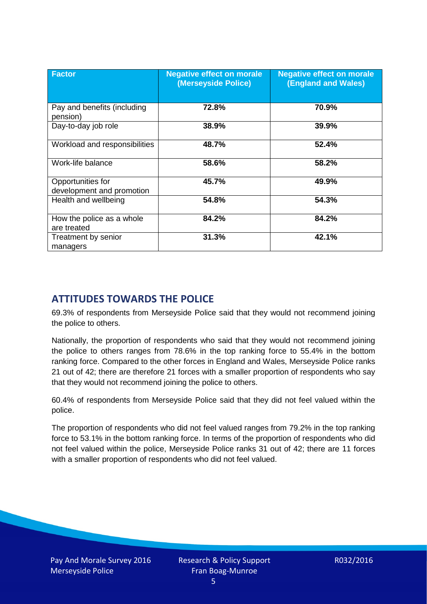| <b>Factor</b>                                  | <b>Negative effect on morale</b><br>(Merseyside Police) | <b>Negative effect on morale</b><br>(England and Wales) |
|------------------------------------------------|---------------------------------------------------------|---------------------------------------------------------|
| Pay and benefits (including<br>pension)        | 72.8%                                                   | 70.9%                                                   |
| Day-to-day job role                            | 38.9%                                                   | 39.9%                                                   |
| Workload and responsibilities                  | 48.7%                                                   | 52.4%                                                   |
| Work-life balance                              | 58.6%                                                   | 58.2%                                                   |
| Opportunities for<br>development and promotion | 45.7%                                                   | 49.9%                                                   |
| Health and wellbeing                           | 54.8%                                                   | 54.3%                                                   |
| How the police as a whole<br>are treated       | 84.2%                                                   | 84.2%                                                   |
| Treatment by senior<br>managers                | 31.3%                                                   | 42.1%                                                   |

# **ATTITUDES TOWARDS THE POLICE**

69.3% of respondents from Merseyside Police said that they would not recommend joining the police to others.

Nationally, the proportion of respondents who said that they would not recommend joining the police to others ranges from 78.6% in the top ranking force to 55.4% in the bottom ranking force. Compared to the other forces in England and Wales, Merseyside Police ranks 21 out of 42; there are therefore 21 forces with a smaller proportion of respondents who say that they would not recommend joining the police to others.

60.4% of respondents from Merseyside Police said that they did not feel valued within the police.

The proportion of respondents who did not feel valued ranges from 79.2% in the top ranking force to 53.1% in the bottom ranking force. In terms of the proportion of respondents who did not feel valued within the police, Merseyside Police ranks 31 out of 42; there are 11 forces with a smaller proportion of respondents who did not feel valued.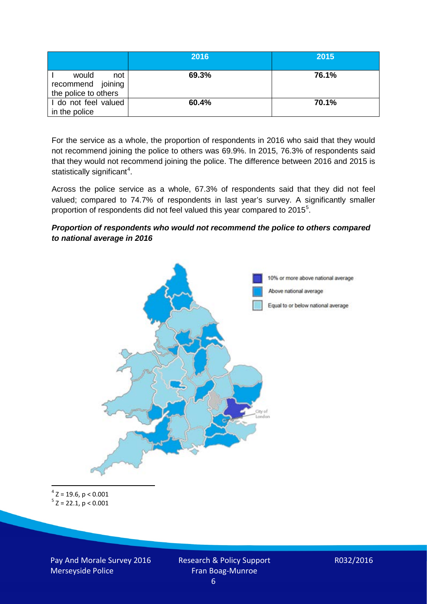|                                                           | 2016  | 2015  |
|-----------------------------------------------------------|-------|-------|
| would<br>not<br>recommend joining<br>the police to others | 69.3% | 76.1% |
| I do not feel valued<br>in the police                     | 60.4% | 70.1% |

For the service as a whole, the proportion of respondents in 2016 who said that they would not recommend joining the police to others was 69.9%. In 2015, 76.3% of respondents said that they would not recommend joining the police. The difference between 2016 and 2015 is statistically significant<sup>[4](#page-5-0)</sup>.

Across the police service as a whole, 67.3% of respondents said that they did not feel valued; compared to 74.7% of respondents in last year's survey. A significantly smaller proportion of respondents did not feel valued this year compared to 201[5](#page-5-1)<sup>5</sup>.

#### *Proportion of respondents who would not recommend the police to others compared to national average in 2016*



<span id="page-5-1"></span><span id="page-5-0"></span> $4$  Z = 19.6, p < 0.001  $5 z = 22.1, p < 0.001$ 

Pay And Morale Survey 2016 Merseyside Police

Research & Policy Support Fran Boag-Munroe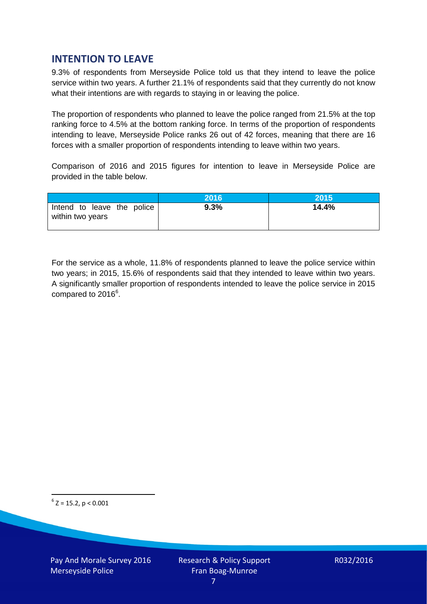## **INTENTION TO LEAVE**

9.3% of respondents from Merseyside Police told us that they intend to leave the police service within two years. A further 21.1% of respondents said that they currently do not know what their intentions are with regards to staying in or leaving the police.

The proportion of respondents who planned to leave the police ranged from 21.5% at the top ranking force to 4.5% at the bottom ranking force. In terms of the proportion of respondents intending to leave, Merseyside Police ranks 26 out of 42 forces, meaning that there are 16 forces with a smaller proportion of respondents intending to leave within two years.

Comparison of 2016 and 2015 figures for intention to leave in Merseyside Police are provided in the table below.

|                                                | 2016 | 2015  |
|------------------------------------------------|------|-------|
| Intend to leave the police<br>within two years | 9.3% | 14.4% |

For the service as a whole, 11.8% of respondents planned to leave the police service within two years; in 2015, 15.6% of respondents said that they intended to leave within two years. A significantly smaller proportion of respondents intended to leave the police service in 2015 compared to 201[6](#page-6-0)<sup>6</sup>.

<span id="page-6-0"></span> $6$  Z = 15.2, p < 0.001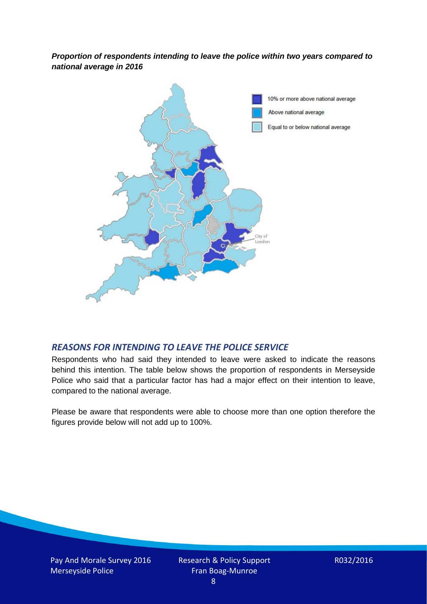*Proportion of respondents intending to leave the police within two years compared to national average in 2016*



#### *REASONS FOR INTENDING TO LEAVE THE POLICE SERVICE*

Respondents who had said they intended to leave were asked to indicate the reasons behind this intention. The table below shows the proportion of respondents in Merseyside Police who said that a particular factor has had a major effect on their intention to leave, compared to the national average.

Please be aware that respondents were able to choose more than one option therefore the figures provide below will not add up to 100%.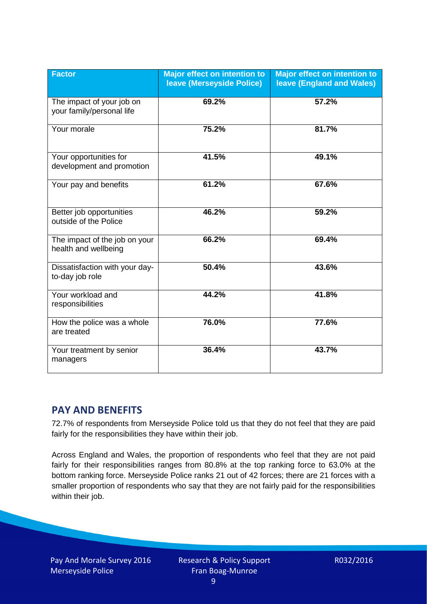| <b>Factor</b>                                          | <b>Major effect on intention to</b><br><b>leave (Merseyside Police)</b> | <b>Major effect on intention to</b><br><b>leave (England and Wales)</b> |
|--------------------------------------------------------|-------------------------------------------------------------------------|-------------------------------------------------------------------------|
| The impact of your job on<br>your family/personal life | 69.2%                                                                   | 57.2%                                                                   |
| Your morale                                            | 75.2%                                                                   | 81.7%                                                                   |
| Your opportunities for<br>development and promotion    | 41.5%                                                                   | 49.1%                                                                   |
| Your pay and benefits                                  | 61.2%                                                                   | 67.6%                                                                   |
| Better job opportunities<br>outside of the Police      | 46.2%                                                                   | 59.2%                                                                   |
| The impact of the job on your<br>health and wellbeing  | 66.2%                                                                   | 69.4%                                                                   |
| Dissatisfaction with your day-<br>to-day job role      | 50.4%                                                                   | 43.6%                                                                   |
| Your workload and<br>responsibilities                  | 44.2%                                                                   | 41.8%                                                                   |
| How the police was a whole<br>are treated              | 76.0%                                                                   | 77.6%                                                                   |
| Your treatment by senior<br>managers                   | 36.4%                                                                   | 43.7%                                                                   |

## **PAY AND BENEFITS**

72.7% of respondents from Merseyside Police told us that they do not feel that they are paid fairly for the responsibilities they have within their job.

Across England and Wales, the proportion of respondents who feel that they are not paid fairly for their responsibilities ranges from 80.8% at the top ranking force to 63.0% at the bottom ranking force. Merseyside Police ranks 21 out of 42 forces; there are 21 forces with a smaller proportion of respondents who say that they are not fairly paid for the responsibilities within their job.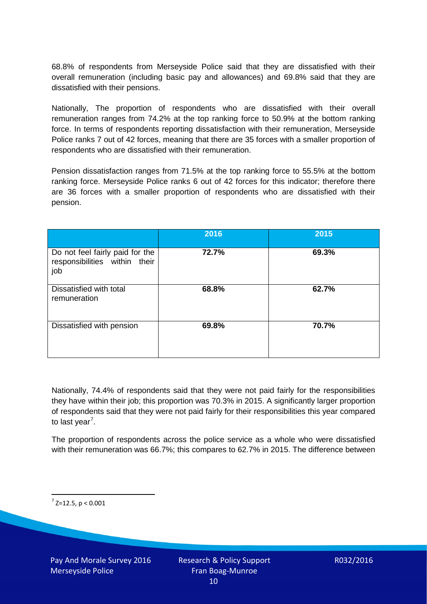68.8% of respondents from Merseyside Police said that they are dissatisfied with their overall remuneration (including basic pay and allowances) and 69.8% said that they are dissatisfied with their pensions.

Nationally, The proportion of respondents who are dissatisfied with their overall remuneration ranges from 74.2% at the top ranking force to 50.9% at the bottom ranking force. In terms of respondents reporting dissatisfaction with their remuneration, Merseyside Police ranks 7 out of 42 forces, meaning that there are 35 forces with a smaller proportion of respondents who are dissatisfied with their remuneration.

Pension dissatisfaction ranges from 71.5% at the top ranking force to 55.5% at the bottom ranking force. Merseyside Police ranks 6 out of 42 forces for this indicator; therefore there are 36 forces with a smaller proportion of respondents who are dissatisfied with their pension.

|                                                                         | 2016  | 2015  |
|-------------------------------------------------------------------------|-------|-------|
| Do not feel fairly paid for the<br>responsibilities within their<br>job | 72.7% | 69.3% |
| Dissatisfied with total<br>remuneration                                 | 68.8% | 62.7% |
| Dissatisfied with pension                                               | 69.8% | 70.7% |

Nationally, 74.4% of respondents said that they were not paid fairly for the responsibilities they have within their job; this proportion was 70.3% in 2015. A significantly larger proportion of respondents said that they were not paid fairly for their responsibilities this year compared to last year<sup>[7](#page-9-0)</sup>.

The proportion of respondents across the police service as a whole who were dissatisfied with their remuneration was 66.7%; this compares to 62.7% in 2015. The difference between

<span id="page-9-0"></span> $7$  Z=12.5, p < 0.001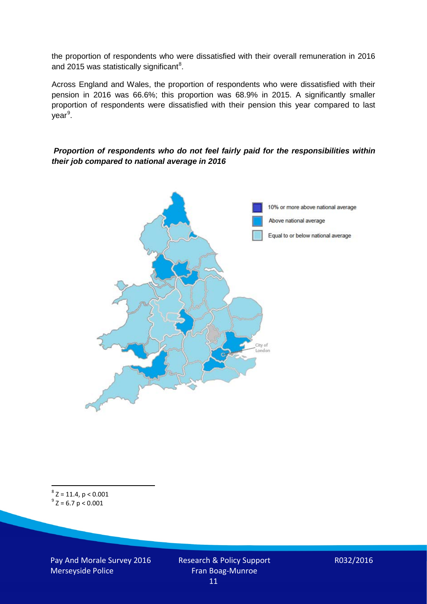the proportion of respondents who were dissatisfied with their overall remuneration in 2016 and 2015 was statistically significant<sup>[8](#page-10-0)</sup>.

Across England and Wales, the proportion of respondents who were dissatisfied with their pension in 2016 was 66.6%; this proportion was 68.9% in 2015. A significantly smaller proportion of respondents were dissatisfied with their pension this year compared to last year<sup>[9](#page-10-1)</sup>.

#### *Proportion of respondents who do not feel fairly paid for the responsibilities within their job compared to national average in 2016*



<span id="page-10-1"></span><span id="page-10-0"></span> ${}^{8}$  Z = 11.4, p < 0.001<br>  ${}^{9}$  Z = 6.7 p < 0.001

Pay And Morale Survey 2016 Merseyside Police

Research & Policy Support Fran Boag-Munroe 11

R032/2016